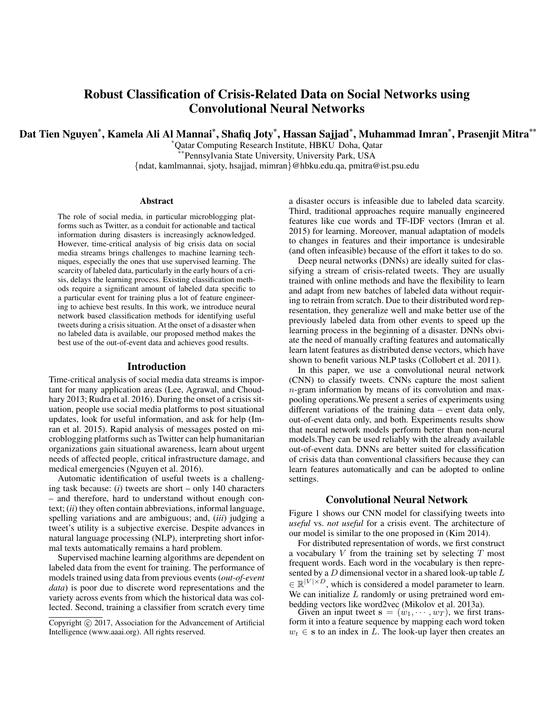# Robust Classification of Crisis-Related Data on Social Networks using Convolutional Neural Networks

Dat Tien Nguyen\*, Kamela Ali Al Mannai\*, Shafiq Joty\*, Hassan Sajjad\*, Muhammad Imran\*, Prasenjit Mitra\*\*

\*Qatar Computing Research Institute, HBKU Doha, Qatar Pennsylvania State University, University Park, USA {ndat, kamlmannai, sjoty, hsajjad, mimran}@hbku.edu.qa, pmitra@ist.psu.edu

#### Abstract

The role of social media, in particular microblogging platforms such as Twitter, as a conduit for actionable and tactical information during disasters is increasingly acknowledged. However, time-critical analysis of big crisis data on social media streams brings challenges to machine learning techniques, especially the ones that use supervised learning. The scarcity of labeled data, particularly in the early hours of a crisis, delays the learning process. Existing classification methods require a significant amount of labeled data specific to a particular event for training plus a lot of feature engineering to achieve best results. In this work, we introduce neural network based classification methods for identifying useful tweets during a crisis situation. At the onset of a disaster when no labeled data is available, our proposed method makes the best use of the out-of-event data and achieves good results.

#### Introduction

Time-critical analysis of social media data streams is important for many application areas (Lee, Agrawal, and Choudhary 2013; Rudra et al. 2016). During the onset of a crisis situation, people use social media platforms to post situational updates, look for useful information, and ask for help (Imran et al. 2015). Rapid analysis of messages posted on microblogging platforms such as Twitter can help humanitarian organizations gain situational awareness, learn about urgent needs of affected people, critical infrastructure damage, and medical emergencies (Nguyen et al. 2016).

Automatic identification of useful tweets is a challenging task because: (*i*) tweets are short – only 140 characters – and therefore, hard to understand without enough context; (*ii*) they often contain abbreviations, informal language, spelling variations and are ambiguous; and, (*iii*) judging a tweet's utility is a subjective exercise. Despite advances in natural language processing (NLP), interpreting short informal texts automatically remains a hard problem.

Supervised machine learning algorithms are dependent on labeled data from the event for training. The performance of models trained using data from previous events (*out-of-event data*) is poor due to discrete word representations and the variety across events from which the historical data was collected. Second, training a classifier from scratch every time

a disaster occurs is infeasible due to labeled data scarcity. Third, traditional approaches require manually engineered features like cue words and TF-IDF vectors (Imran et al. 2015) for learning. Moreover, manual adaptation of models to changes in features and their importance is undesirable (and often infeasible) because of the effort it takes to do so.

Deep neural networks (DNNs) are ideally suited for classifying a stream of crisis-related tweets. They are usually trained with online methods and have the flexibility to learn and adapt from new batches of labeled data without requiring to retrain from scratch. Due to their distributed word representation, they generalize well and make better use of the previously labeled data from other events to speed up the learning process in the beginning of a disaster. DNNs obviate the need of manually crafting features and automatically learn latent features as distributed dense vectors, which have shown to benefit various NLP tasks (Collobert et al. 2011).

In this paper, we use a convolutional neural network (CNN) to classify tweets. CNNs capture the most salient n-gram information by means of its convolution and maxpooling operations.We present a series of experiments using different variations of the training data – event data only, out-of-event data only, and both. Experiments results show that neural network models perform better than non-neural models.They can be used reliably with the already available out-of-event data. DNNs are better suited for classification of crisis data than conventional classifiers because they can learn features automatically and can be adopted to online settings.

### Convolutional Neural Network

Figure 1 shows our CNN model for classifying tweets into *useful* vs. *not useful* for a crisis event. The architecture of our model is similar to the one proposed in (Kim 2014).

For distributed representation of words, we first construct a vocabulary  $V$  from the training set by selecting  $T$  most frequent words. Each word in the vocabulary is then represented by a  $D$  dimensional vector in a shared look-up table  $L$  $\in \mathbb{R}^{|V| \times D}$ , which is considered a model parameter to learn. We can initialize  $L$  randomly or using pretrained word embedding vectors like word2vec (Mikolov et al. 2013a).

Given an input tweet  $\mathbf{s} = (\dot{w}_1, \dots, w_T)$ , we first transform it into a feature sequence by mapping each word token  $w_t \in \mathbf{s}$  to an index in L. The look-up layer then creates an

Copyright (c) 2017, Association for the Advancement of Artificial Intelligence (www.aaai.org). All rights reserved.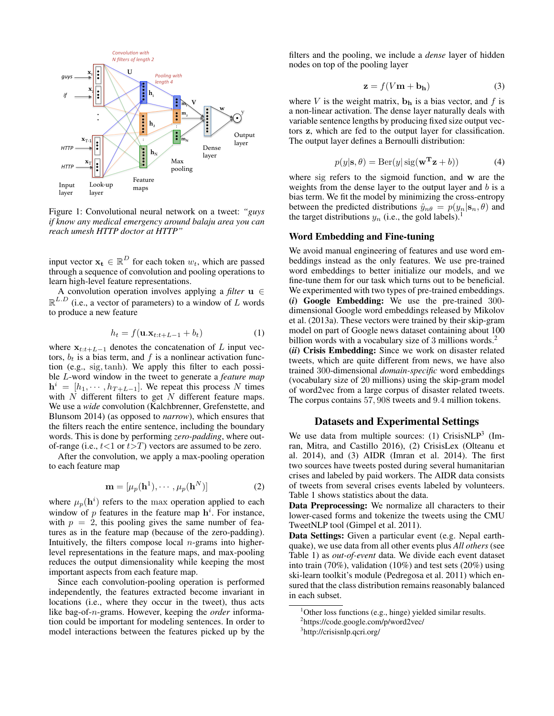

Figure 1: Convolutional neural network on a tweet: *"guys if know any medical emergency around balaju area you can reach umesh HTTP doctor at HTTP"*

input vector  $\mathbf{x_t} \in \mathbb{R}^D$  for each token  $w_t$ , which are passed through a sequence of convolution and pooling operations to learn high-level feature representations.

A convolution operation involves applying a *filter* u ∈  $\mathbb{R}^{L.D}$  (i.e., a vector of parameters) to a window of L words to produce a new feature

$$
h_t = f(\mathbf{u}.\mathbf{x}_{t:t+L-1} + b_t)
$$
 (1)

where  $x_{t:t+L-1}$  denotes the concatenation of L input vectors,  $b_t$  is a bias term, and f is a nonlinear activation function (e.g., sig,tanh). We apply this filter to each possible L-word window in the tweet to generate a *feature map*  $h^{i} = [h_1, \cdots, h_{T+L-1}]$ . We repeat this process N times with  $N$  different filters to get  $N$  different feature maps. We use a *wide* convolution (Kalchbrenner, Grefenstette, and Blunsom 2014) (as opposed to *narrow*), which ensures that the filters reach the entire sentence, including the boundary words. This is done by performing *zero-padding*, where outof-range (i.e.,  $t<1$  or  $t>T$ ) vectors are assumed to be zero.

After the convolution, we apply a max-pooling operation to each feature map

$$
\mathbf{m} = [\mu_p(\mathbf{h}^1), \cdots, \mu_p(\mathbf{h}^N)]
$$
 (2)

where  $\mu_p(\mathbf{h}^i)$  refers to the max operation applied to each window of  $p$  features in the feature map  $h^{i}$ . For instance, with  $p = 2$ , this pooling gives the same number of features as in the feature map (because of the zero-padding). Intuitively, the filters compose local  $n$ -grams into higherlevel representations in the feature maps, and max-pooling reduces the output dimensionality while keeping the most important aspects from each feature map.

Since each convolution-pooling operation is performed independently, the features extracted become invariant in locations (i.e., where they occur in the tweet), thus acts like bag-of-n-grams. However, keeping the *order* information could be important for modeling sentences. In order to model interactions between the features picked up by the

filters and the pooling, we include a *dense* layer of hidden nodes on top of the pooling layer

$$
\mathbf{z} = f(V\mathbf{m} + \mathbf{b}_{\mathbf{h}}) \tag{3}
$$

where V is the weight matrix,  $\mathbf{b_h}$  is a bias vector, and f is a non-linear activation. The dense layer naturally deals with variable sentence lengths by producing fixed size output vectors z, which are fed to the output layer for classification. The output layer defines a Bernoulli distribution:

$$
p(y|\mathbf{s}, \theta) = \text{Ber}(y|\text{sig}(\mathbf{w}^{\mathbf{T}}\mathbf{z} + b))
$$
 (4)

where sig refers to the sigmoid function, and w are the weights from the dense layer to the output layer and  $b$  is a bias term. We fit the model by minimizing the cross-entropy between the predicted distributions  $\hat{y}_{n\theta} = p(y_n|\mathbf{s}_n, \theta)$  and the target distributions  $y_n$  (i.e., the gold labels).

## Word Embedding and Fine-tuning

We avoid manual engineering of features and use word embeddings instead as the only features. We use pre-trained word embeddings to better initialize our models, and we fine-tune them for our task which turns out to be beneficial. We experimented with two types of pre-trained embeddings. (*i*) Google Embedding: We use the pre-trained 300 dimensional Google word embeddings released by Mikolov et al. (2013a). These vectors were trained by their skip-gram model on part of Google news dataset containing about 100 billion words with a vocabulary size of 3 millions words.<sup>2</sup>

(*ii*) Crisis Embedding: Since we work on disaster related tweets, which are quite different from news, we have also trained 300-dimensional *domain-specific* word embeddings (vocabulary size of 20 millions) using the skip-gram model of word2vec from a large corpus of disaster related tweets. The corpus contains 57, 908 tweets and 9.4 million tokens.

## Datasets and Experimental Settings

We use data from multiple sources:  $(1)$  CrisisNLP<sup>3</sup> (Imran, Mitra, and Castillo 2016), (2) CrisisLex (Olteanu et al. 2014), and (3) AIDR (Imran et al. 2014). The first two sources have tweets posted during several humanitarian crises and labeled by paid workers. The AIDR data consists of tweets from several crises events labeled by volunteers. Table 1 shows statistics about the data.

Data Preprocessing: We normalize all characters to their lower-cased forms and tokenize the tweets using the CMU TweetNLP tool (Gimpel et al. 2011).

Data Settings: Given a particular event (e.g. Nepal earthquake), we use data from all other events plus *All others* (see Table 1) as *out-of-event* data. We divide each event dataset into train (70%), validation (10%) and test sets (20%) using ski-learn toolkit's module (Pedregosa et al. 2011) which ensured that the class distribution remains reasonably balanced in each subset.

<sup>&</sup>lt;sup>1</sup>Other loss functions (e.g., hinge) yielded similar results.

<sup>2</sup> https://code.google.com/p/word2vec/

<sup>3</sup> http://crisisnlp.qcri.org/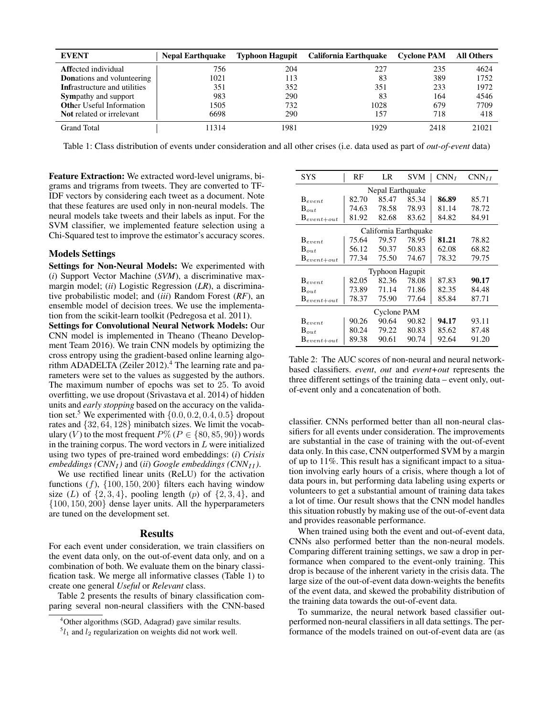| <b>EVENT</b>                        | <b>Nepal Earthquake</b> |      | Typhoon Hagupit California Earthquake | <b>Cyclone PAM</b> | <b>All Others</b> |
|-------------------------------------|-------------------------|------|---------------------------------------|--------------------|-------------------|
| <b>Affected</b> individual          | 756                     | 204  | 227                                   | 235                | 4624              |
| <b>Donations and volunteering</b>   | 1021                    | 113  | 83                                    | 389                | 1752              |
| <b>Infrastructure and utilities</b> | 351                     | 352  | 351                                   | 233                | 1972              |
| <b>Sympathy and support</b>         | 983                     | 290  | 83                                    | 164                | 4546              |
| <b>Other Useful Information</b>     | 1505                    | 732  | 1028                                  | 679                | 7709              |
| Not related or irrelevant           | 6698                    | 290  | 157                                   | 718                | 418               |
| <b>Grand Total</b>                  | 11314                   | 1981 | 1929                                  | 2418               | 21021             |

Table 1: Class distribution of events under consideration and all other crises (i.e. data used as part of *out-of-event* data)

Feature Extraction: We extracted word-level unigrams, bigrams and trigrams from tweets. They are converted to TF-IDF vectors by considering each tweet as a document. Note that these features are used only in non-neural models. The neural models take tweets and their labels as input. For the SVM classifier, we implemented feature selection using a Chi-Squared test to improve the estimator's accuracy scores.

## Models Settings

Settings for Non-Neural Models: We experimented with (*i*) Support Vector Machine (*SVM*), a discriminative maxmargin model; (*ii*) Logistic Regression (*LR*), a discriminative probabilistic model; and (*iii*) Random Forest (*RF*), an ensemble model of decision trees. We use the implementation from the scikit-learn toolkit (Pedregosa et al. 2011).

Settings for Convolutional Neural Network Models: Our CNN model is implemented in Theano (Theano Development Team 2016). We train CNN models by optimizing the cross entropy using the gradient-based online learning algorithm ADADELTA (Zeiler 2012).<sup>4</sup> The learning rate and parameters were set to the values as suggested by the authors. The maximum number of epochs was set to 25. To avoid overfitting, we use dropout (Srivastava et al. 2014) of hidden units and *early stopping* based on the accuracy on the validation set.<sup>5</sup> We experimented with  $\{0.0, 0.2, 0.4, 0.5\}$  dropout rates and {32, 64, 128} minibatch sizes. We limit the vocabulary (V) to the most frequent  $P\%$  ( $P \in \{80, 85, 90\}$ ) words in the training corpus. The word vectors in  $L$  were initialized using two types of pre-trained word embeddings: (*i*) *Crisis embeddings (CNN<sub>I</sub>)* and *(ii) Google embeddings (CNN<sub>II</sub>)*.

We use rectified linear units (ReLU) for the activation functions  $(f)$ ,  $\{100, 150, 200\}$  filters each having window size (L) of  $\{2, 3, 4\}$ , pooling length (p) of  $\{2, 3, 4\}$ , and {100, 150, 200} dense layer units. All the hyperparameters are tuned on the development set.

#### Results

For each event under consideration, we train classifiers on the event data only, on the out-of-event data only, and on a combination of both. We evaluate them on the binary classification task. We merge all informative classes (Table 1) to create one general *Useful* or *Relevant* class.

Table 2 presents the results of binary classification comparing several non-neural classifiers with the CNN-based

| SYS                   | RF    | LR    | SVM   | CNN <sub>I</sub> | $CNN_{II}$ |  |  |  |
|-----------------------|-------|-------|-------|------------------|------------|--|--|--|
| Nepal Earthquake      |       |       |       |                  |            |  |  |  |
| $B_{event}$           | 82.70 | 85.47 | 85.34 | 86.89            | 85.71      |  |  |  |
| $B_{out}$             | 74.63 | 78.58 | 78.93 | 81.14            | 78.72      |  |  |  |
| $B_{event+out}$       | 81.92 | 82.68 | 83.62 | 84.82            | 84.91      |  |  |  |
| California Earthquake |       |       |       |                  |            |  |  |  |
| $B_{event}$           | 75.64 | 79.57 | 78.95 | 81.21            | 78.82      |  |  |  |
| $B_{out}$             | 56.12 | 50.37 | 50.83 | 62.08            | 68.82      |  |  |  |
| $B_{event+out}$       | 77.34 | 75.50 | 74.67 | 78.32            | 79.75      |  |  |  |
| Typhoon Hagupit       |       |       |       |                  |            |  |  |  |
| $B_{event}$           | 82.05 | 82.36 | 78.08 | 87.83            | 90.17      |  |  |  |
| $B_{out}$             | 73.89 | 71.14 | 71.86 | 82.35            | 84.48      |  |  |  |
| $B_{event+out}$       | 78.37 | 75.90 | 77.64 | 85.84            | 87.71      |  |  |  |
| Cyclone PAM           |       |       |       |                  |            |  |  |  |
| $B_{event}$           | 90.26 | 90.64 | 90.82 | 94.17            | 93.11      |  |  |  |
| $B_{out}$             | 80.24 | 79.22 | 80.83 | 85.62            | 87.48      |  |  |  |
| $B_{event+out}$       | 89.38 | 90.61 | 90.74 | 92.64            | 91.20      |  |  |  |

Table 2: The AUC scores of non-neural and neural networkbased classifiers. *event*, *out* and *event+out* represents the three different settings of the training data – event only, outof-event only and a concatenation of both.

classifier. CNNs performed better than all non-neural classifiers for all events under consideration. The improvements are substantial in the case of training with the out-of-event data only. In this case, CNN outperformed SVM by a margin of up to 11%. This result has a significant impact to a situation involving early hours of a crisis, where though a lot of data pours in, but performing data labeling using experts or volunteers to get a substantial amount of training data takes a lot of time. Our result shows that the CNN model handles this situation robustly by making use of the out-of-event data and provides reasonable performance.

When trained using both the event and out-of-event data, CNNs also performed better than the non-neural models. Comparing different training settings, we saw a drop in performance when compared to the event-only training. This drop is because of the inherent variety in the crisis data. The large size of the out-of-event data down-weights the benefits of the event data, and skewed the probability distribution of the training data towards the out-of-event data.

To summarize, the neural network based classifier outperformed non-neural classifiers in all data settings. The performance of the models trained on out-of-event data are (as

<sup>4</sup>Other algorithms (SGD, Adagrad) gave similar results.

 $5l_1$  and  $l_2$  regularization on weights did not work well.